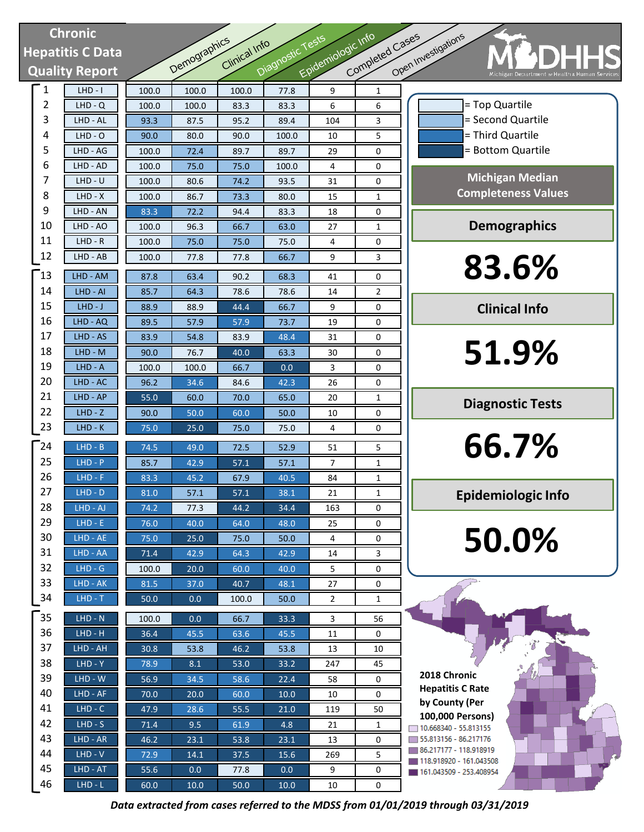# **Chronic Hepatitis C Data Quality Report**

| <b>Chronic</b> |                       | Epidemiologic Info<br>Completed Cases<br>Diagnostic Tests |              |               |              |                |                |                     |                                         |
|----------------|-----------------------|-----------------------------------------------------------|--------------|---------------|--------------|----------------|----------------|---------------------|-----------------------------------------|
|                | epatitis C Data       |                                                           | Demographics | Clinical Info |              |                |                | Open Investigations |                                         |
|                |                       |                                                           |              |               |              |                |                |                     |                                         |
|                | <b>Quality Report</b> |                                                           |              |               |              |                |                |                     |                                         |
| $\mathbf{1}$   | $LHD - I$             | 100.0                                                     | 100.0        | 100.0         | 77.8         | 9              | 1              |                     |                                         |
| $\overline{2}$ | $LHD - Q$             | 100.0                                                     | 100.0        | 83.3          | 83.3         | 6              | 6              |                     |                                         |
| 3              | LHD - AL              | 93.3                                                      | 87.5         | 95.2          | 89.4         | 104            | 3              |                     |                                         |
| 4              | $LHD - O$             | 90.0                                                      | 80.0         | 90.0          | 100.0        | 10             | 5              |                     |                                         |
| 5              | LHD - AG              | 100.0                                                     | 72.4         | 89.7          | 89.7         | 29             | 0              |                     |                                         |
| 6              | LHD - AD              | 100.0                                                     | 75.0         | 75.0          | 100.0        | 4              | 0              |                     |                                         |
| 7              | $LHD - U$             | 100.0                                                     | 80.6         | 74.2          | 93.5         | 31             | 0              |                     | Co                                      |
| 8              | LHD - X               | 100.0                                                     | 86.7         | 73.3          | 80.0         | 15             | 1              |                     |                                         |
| 9<br>10        | LHD - AN              | 83.3                                                      | 72.2         | 94.4          | 83.3         | 18             | 0              |                     |                                         |
| 11             | LHD - AO<br>$LHD - R$ | 100.0                                                     | 96.3         | 66.7          | 63.0         | 27<br>4        | 1<br>0         |                     |                                         |
| 12             | LHD - AB              | 100.0<br>100.0                                            | 75.0<br>77.8 | 75.0<br>77.8  | 75.0<br>66.7 | 9              | 3              |                     |                                         |
|                |                       |                                                           |              |               |              |                |                |                     |                                         |
| 13             | LHD - AM              | 87.8                                                      | 63.4         | 90.2          | 68.3         | 41             | 0              |                     |                                         |
| 14             | LHD - AI              | 85.7                                                      | 64.3         | 78.6          | 78.6         | 14             | $\overline{2}$ |                     |                                         |
| 15             | $LHD-J$               | 88.9                                                      | 88.9         | 44.4          | 66.7         | 9              | 0              |                     |                                         |
| 16             | LHD - AQ              | 89.5                                                      | 57.9         | 57.9          | 73.7         | 19             | 0              |                     |                                         |
| 17             | LHD - AS              | 83.9                                                      | 54.8         | 83.9          | 48.4         | 31             | 0              |                     |                                         |
| 18             | LHD - M               | 90.0                                                      | 76.7         | 40.0          | 63.3         | 30             | 0              |                     |                                         |
| 19             | $LHD - A$             | 100.0                                                     | 100.0        | 66.7          | 0.0          | 3              | 0              |                     |                                         |
| 20             | LHD - AC              | 96.2                                                      | 34.6         | 84.6          | 42.3         | 26             | 0              |                     |                                         |
| 21             | LHD - AP              | 55.0                                                      | 60.0         | 70.0          | 65.0         | 20             | $\mathbf{1}$   |                     | C                                       |
| 22             | $LHD - Z$             | 90.0                                                      | 50.0         | 60.0          | 50.0         | 10             | 0              |                     |                                         |
| 23             | $LHD-K$               | 75.0                                                      | 25.0         | 75.0          | 75.0         | 4              | 0              |                     |                                         |
| $^-24$         | LHD - B               | 74.5                                                      | 49.0         | 72.5          | 52.9         | 51             | 5              |                     |                                         |
| 25             | $LHD - P$             | 85.7                                                      | 42.9         | 57.1          | 57.1         | 7              | $\mathbf{1}$   |                     |                                         |
| 26             | $LHD - F$             | 83.3                                                      | 45.2         | 67.9          | 40.5         | 84             | 1              |                     |                                         |
| 27             | $LHD - D$             | 81.0                                                      | 57.1         | 57.1          | 38.1         | 21             | 1              |                     | Ep                                      |
| 28             | LHD - AJ              | 74.2                                                      | 77.3         | 44.2          | 34.4         | 163            | 0              |                     |                                         |
| 29             | $LHD - E$             | 76.0                                                      | 40.0         | 64.0          | 48.0         | 25             | 0              |                     |                                         |
| 30             | LHD - AE              | 75.0                                                      | 25.0         | 75.0          | 50.0         | 4              | 0              |                     |                                         |
| 31             | LHD - AA              | 71.4                                                      | 42.9         | 64.3          | 42.9         | 14             | 3              |                     |                                         |
| 32             | $LHD - G$             | 100.0                                                     | 20.0         | 60.0          | 40.0         | 5              | 0              |                     |                                         |
| 33<br>34       | $LHD - AK$            | 81.5                                                      | 37.0         | 40.7          | 48.1         | 27             | 0              |                     |                                         |
|                | $LHD - T$             | 50.0                                                      | 0.0          | 100.0         | 50.0         | $\overline{2}$ | $\mathbf{1}$   |                     |                                         |
| 35             | $LHD - N$             | 100.0                                                     | 0.0          | 66.7          | 33.3         | 3              | 56             |                     |                                         |
| 36             | $LHD - H$             | 36.4                                                      | 45.5         | 63.6          | 45.5         | 11             | 0              |                     |                                         |
| 37             | LHD - AH              | 30.8                                                      | 53.8         | 46.2          | 53.8         | 13             | 10             |                     |                                         |
| 38             | $LHD - Y$             | 78.9                                                      | 8.1          | 53.0          | 33.2         | 247            | 45             |                     | 2018 Chron                              |
| 39             | $LHD - W$             | 56.9                                                      | 34.5         | 58.6          | 22.4         | 58             | 0              |                     | <b>Hepatitis C</b>                      |
| 40             | $LHD - AF$            | 70.0                                                      | 20.0         | 60.0          | 10.0         | 10             | 0              |                     | by County (                             |
| 41             | $LHD - C$             | 47.9                                                      | 28.6         | 55.5          | 21.0         | 119            | 50             |                     | 100,000 Per                             |
| 42             | $LHD-S$               | 71.4                                                      | 9.5          | 61.9          | 4.8          | 21             | 1              |                     | $10.668340 - 55.8$                      |
| 43<br>44       | $LHD - AR$            | 46.2                                                      | 23.1         | 53.8          | 23.1         | 13             | 0              |                     | $55.813156 - 86.2$<br>$86.217177 - 118$ |
| 45             | $LHD - V$             | 72.9                                                      | 14.1         | 37.5          | 15.6         | 269            | 5              |                     | 118.918920 - 16                         |
| 46             | LHD - AT<br>$LHD - L$ | 55.6<br>60.0                                              | 0.0          | 77.8          | 0.0          | 9              | 0<br>0         |                     | 161.043509 - 25                         |
|                |                       |                                                           | $10.0\,$     | 50.0          | $10.0\,$     | 10             |                |                     |                                         |



**51.9%**

**Diagnostic Tests**

**66.7%**

**Epidemiologic Info**

**50.0%**

**2018 Chronic Hepatitis C Rate by County (Per 100,000 Persons)**<br>□ 10.668340 - 55.813155 55.813156 - 86.217176 86.217177 - 118.918919 118.918920 - 161.043508 161.043509 - 253.408954

*Data extracted from cases referred to the MDSS from 01/01/2019 through 03/31/2019*